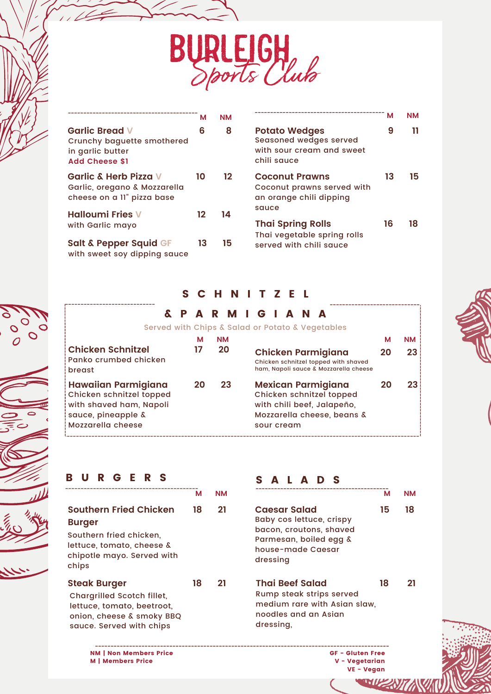

|                                                                                                  | м  | ΝM |  |
|--------------------------------------------------------------------------------------------------|----|----|--|
| <b>Garlic Bread V</b><br>Crunchy baguette smothered<br>in garlic butter<br><b>Add Cheese \$1</b> | 6  | 8  |  |
| <b>Garlic &amp; Herb Pizza V</b><br>Garlic, oregano & Mozzarella<br>cheese on a II" pizza base   | 10 | 12 |  |
| <b>Halloumi Fries V</b><br>with Garlic mayo                                                      | 12 | 14 |  |
| <b>Salt &amp; Pepper Squid GF</b><br>with sweet soy dipping sauce                                | 13 | 15 |  |

| М           | <b>NM</b> |                                                                                                   | м  | <b>NM</b> |  |
|-------------|-----------|---------------------------------------------------------------------------------------------------|----|-----------|--|
| 6           | 8         | <b>Potato Wedges</b><br><b>Seasoned wedges served</b><br>with sour cream and sweet<br>chili sauce | 9  | 11        |  |
| Ο           | 12        | <b>Coconut Prawns</b><br>Coconut prawns served with<br>an orange chili dipping<br>squce           | 13 | 15        |  |
| $\mathbf 2$ | 14        | <b>Thai Spring Rolls</b>                                                                          | 16 | 18        |  |
| 13          | 15        | Thai vegetable spring rolls<br>served with chili squce                                            |    |           |  |

#### S C H N I T Z E L

|                                                                                                                       |         |           | ARMIGIAN |            |  |  |                                                                                                                   |    |           |
|-----------------------------------------------------------------------------------------------------------------------|---------|-----------|----------|------------|--|--|-------------------------------------------------------------------------------------------------------------------|----|-----------|
| Served with Chips & Salad or Potato & Vegetables<br><b>Chicken Schnitzel</b>                                          | м<br>17 | <b>NM</b> | 20       |            |  |  |                                                                                                                   | м  | <b>NM</b> |
| Panko crumbed chicken<br>breast                                                                                       |         |           |          |            |  |  | <b>Chicken Parmigiana</b><br>Chicken schnitzel topped with shaved<br>ham, Napoli sauce & Mozzarella cheese        | 20 | 23        |
| Hawaiian Parmigiana<br>Chicken schnitzel topped<br>with shaved ham, Napoli<br>sauce, pineapple &<br>Mozzarella cheese | 20      |           | 23       | sour cream |  |  | <b>Mexican Parmigiana</b><br>Chicken schnitzel topped<br>with chili beef, Jalapeño,<br>Mozzarella cheese, beans & |    | 23        |

#### B U R G E R S

|                                   | м  | <b>NM</b> |
|-----------------------------------|----|-----------|
| <b>Southern Fried Chicken</b>     | 18 | 21        |
| <b>Burger</b>                     |    |           |
| Southern fried chicken.           |    |           |
| lettuce, tomato, cheese &         |    |           |
| chipotle mayo. Served with        |    |           |
| chips                             |    |           |
| <b>Steak Burger</b>               | 18 | 21        |
| <b>Chargrilled Scotch fillet,</b> |    |           |
| lettuce, tomato, beetroot,        |    |           |
| onion, cheese & smoky BBQ         |    |           |

# sauce. Served with chips

NM | Non Members Price M | Members Price

#### S A L A D S **Caesar Salad 15 18** Baby cos lettuce, crispy bacon, croutons, shaved Parmesan, boiled egg & house-made Caesar **M NM M NM**

dressing **Thai Beef Salad 18 21** Rump steak strips served medium rare with Asian slaw, noodles and an Asian dressing,

> GF - Gluten Free V - Vegetarian VE - Vegan